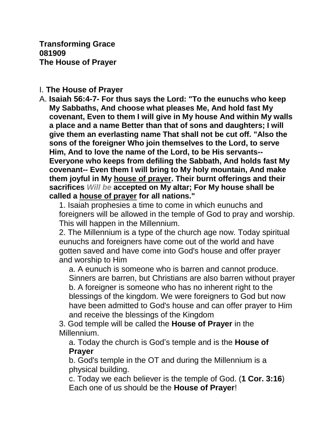**Transforming Grace 081909 The House of Prayer**

## I. **The House of Prayer**

A. **Isaiah 56:4-7- For thus says the Lord: "To the eunuchs who keep My Sabbaths, And choose what pleases Me, And hold fast My covenant, Even to them I will give in My house And within My walls a place and a name Better than that of sons and daughters; I will give them an everlasting name That shall not be cut off. "Also the sons of the foreigner Who join themselves to the Lord, to serve Him, And to love the name of the Lord, to be His servants-- Everyone who keeps from defiling the Sabbath, And holds fast My covenant-- Even them I will bring to My holy mountain, And make them joyful in My house of prayer. Their burnt offerings and their sacrifices** *Will be* **accepted on My altar; For My house shall be called a house of prayer for all nations."** 

1. Isaiah prophesies a time to come in which eunuchs and foreigners will be allowed in the temple of God to pray and worship. This will happen in the Millennium.

2. The Millennium is a type of the church age now. Today spiritual eunuchs and foreigners have come out of the world and have gotten saved and have come into God's house and offer prayer and worship to Him

a. A eunuch is someone who is barren and cannot produce. Sinners are barren, but Christians are also barren without prayer b. A foreigner is someone who has no inherent right to the blessings of the kingdom. We were foreigners to God but now have been admitted to God's house and can offer prayer to Him and receive the blessings of the Kingdom

3. God temple will be called the **House of Prayer** in the Millennium.

a. Today the church is God's temple and is the **House of Prayer**

b. God's temple in the OT and during the Millennium is a physical building.

c. Today we each believer is the temple of God. (**1 Cor. 3:16**) Each one of us should be the **House of Prayer**!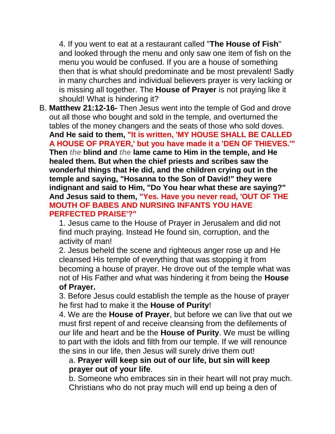4. If you went to eat at a restaurant called "**The House of Fish**" and looked through the menu and only saw one item of fish on the menu you would be confused. If you are a house of something then that is what should predominate and be most prevalent! Sadly in many churches and individual believers prayer is very lacking or is missing all together. The **House of Prayer** is not praying like it should! What is hindering it?

B. **Matthew 21:12-16-** Then Jesus went into the temple of God and drove out all those who bought and sold in the temple, and overturned the tables of the money changers and the seats of those who sold doves. **And He said to them, "It is written, 'MY HOUSE SHALL BE CALLED A HOUSE OF PRAYER,' but you have made it a 'DEN OF THIEVES.'" Then** *the* **blind and** *the* **lame came to Him in the temple, and He healed them. But when the chief priests and scribes saw the wonderful things that He did, and the children crying out in the temple and saying, "Hosanna to the Son of David!" they were indignant and said to Him, "Do You hear what these are saying?" And Jesus said to them, "Yes. Have you never read, 'OUT OF THE MOUTH OF BABES AND NURSING INFANTS YOU HAVE PERFECTED PRAISE'?"**

1. Jesus came to the House of Prayer in Jerusalem and did not find much praying. Instead He found sin, corruption, and the activity of man!

2. Jesus beheld the scene and righteous anger rose up and He cleansed His temple of everything that was stopping it from becoming a house of prayer. He drove out of the temple what was not of His Father and what was hindering it from being the **House of Prayer.**

3. Before Jesus could establish the temple as the house of prayer he first had to make it the **House of Purity**!

4. We are the **House of Prayer**, but before we can live that out we must first repent of and receive cleansing from the defilements of our life and heart and be the **House of Purity**. We must be willing to part with the idols and filth from our temple. If we will renounce the sins in our life, then Jesus will surely drive them out!

## a. **Prayer will keep sin out of our life, but sin will keep prayer out of your life**.

b. Someone who embraces sin in their heart will not pray much. Christians who do not pray much will end up being a den of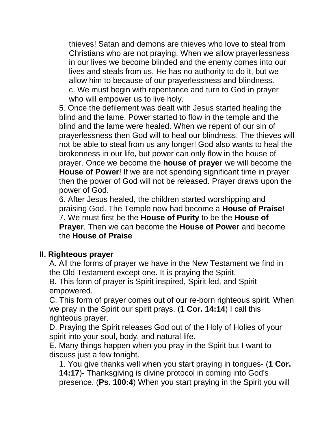thieves! Satan and demons are thieves who love to steal from Christians who are not praying. When we allow prayerlessness in our lives we become blinded and the enemy comes into our lives and steals from us. He has no authority to do it, but we allow him to because of our prayerlessness and blindness. c. We must begin with repentance and turn to God in prayer who will empower us to live holy.

5. Once the defilement was dealt with Jesus started healing the blind and the lame. Power started to flow in the temple and the blind and the lame were healed. When we repent of our sin of prayerlessness then God will to heal our blindness. The thieves will not be able to steal from us any longer! God also wants to heal the brokenness in our life, but power can only flow in the house of prayer. Once we become the **house of prayer** we will become the **House of Power**! If we are not spending significant time in prayer then the power of God will not be released. Prayer draws upon the power of God.

6. After Jesus healed, the children started worshipping and praising God. The Temple now had become a **House of Praise**! 7. We must first be the **House of Purity** to be the **House of Prayer**. Then we can become the **House of Power** and become the **House of Praise**

## **II. Righteous prayer**

A. All the forms of prayer we have in the New Testament we find in the Old Testament except one. It is praying the Spirit.

B. This form of prayer is Spirit inspired, Spirit led, and Spirit empowered.

C. This form of prayer comes out of our re-born righteous spirit. When we pray in the Spirit our spirit prays. (**1 Cor. 14:14**) I call this righteous prayer.

D. Praying the Spirit releases God out of the Holy of Holies of your spirit into your soul, body, and natural life.

E. Many things happen when you pray in the Spirit but I want to discuss just a few tonight.

1. You give thanks well when you start praying in tongues- (**1 Cor. 14:17**)- Thanksgiving is divine protocol in coming into God's presence. (**Ps. 100:4**) When you start praying in the Spirit you will